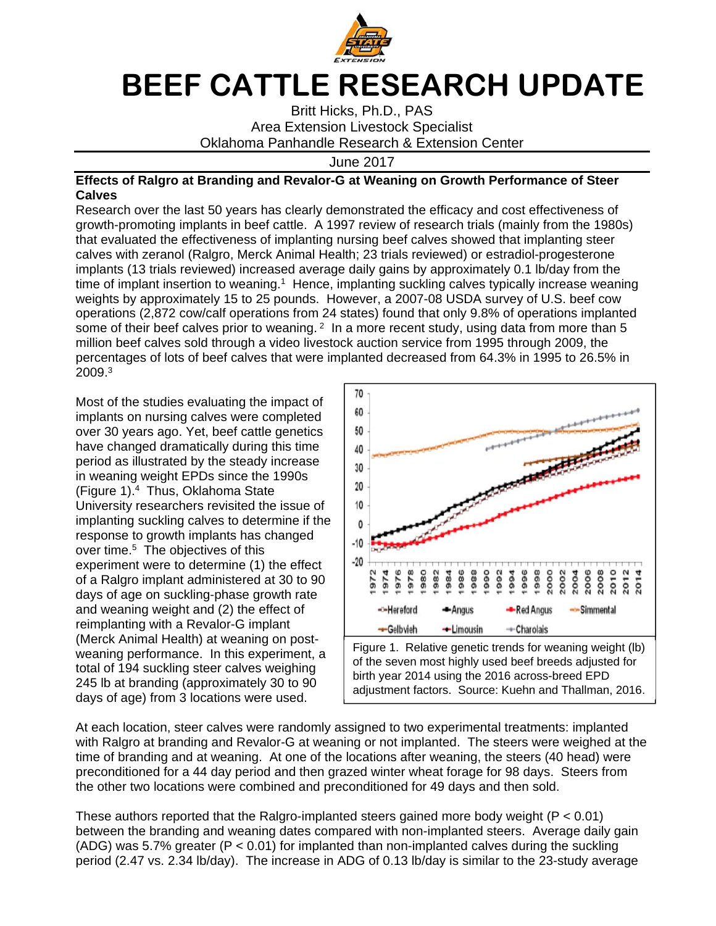

## **BEEF CATTLE RESEARCH UPDATE**

Britt Hicks, Ph.D., PAS Area Extension Livestock Specialist Oklahoma Panhandle Research & Extension Center

June 2017

## **Effects of Ralgro at Branding and Revalor-G at Weaning on Growth Performance of Steer Calves**

Research over the last 50 years has clearly demonstrated the efficacy and cost effectiveness of growth-promoting implants in beef cattle. A 1997 review of research trials (mainly from the 1980s) that evaluated the effectiveness of implanting nursing beef calves showed that implanting steer calves with zeranol (Ralgro, Merck Animal Health; 23 trials reviewed) or estradiol-progesterone implants (13 trials reviewed) increased average daily gains by approximately 0.1 lb/day from the time of implant insertion to weaning.<sup>1</sup> Hence, implanting suckling calves typically increase weaning weights by approximately 15 to 25 pounds. However, a 2007-08 USDA survey of U.S. beef cow operations (2,872 cow/calf operations from 24 states) found that only 9.8% of operations implanted some of their beef calves prior to weaning.  $2 \text{ In a more recent study, using data from more than 5.}$ million beef calves sold through a video livestock auction service from 1995 through 2009, the percentages of lots of beef calves that were implanted decreased from 64.3% in 1995 to 26.5% in 2009.3

Most of the studies evaluating the impact of implants on nursing calves were completed over 30 years ago. Yet, beef cattle genetics have changed dramatically during this time period as illustrated by the steady increase in weaning weight EPDs since the 1990s (Figure 1).4 Thus, Oklahoma State University researchers revisited the issue of implanting suckling calves to determine if the response to growth implants has changed over time.<sup>5</sup> The objectives of this experiment were to determine (1) the effect of a Ralgro implant administered at 30 to 90 days of age on suckling-phase growth rate and weaning weight and (2) the effect of reimplanting with a Revalor-G implant (Merck Animal Health) at weaning on postweaning performance. In this experiment, a total of 194 suckling steer calves weighing 245 lb at branding (approximately 30 to 90 days of age) from 3 locations were used.



of the seven most highly used beef breeds adjusted for birth year 2014 using the 2016 across-breed EPD adjustment factors. Source: Kuehn and Thallman, 2016.

At each location, steer calves were randomly assigned to two experimental treatments: implanted with Ralgro at branding and Revalor-G at weaning or not implanted. The steers were weighed at the time of branding and at weaning. At one of the locations after weaning, the steers (40 head) were preconditioned for a 44 day period and then grazed winter wheat forage for 98 days. Steers from the other two locations were combined and preconditioned for 49 days and then sold.

These authors reported that the Ralgro-implanted steers gained more body weight (P < 0.01) between the branding and weaning dates compared with non-implanted steers. Average daily gain (ADG) was 5.7% greater ( $P < 0.01$ ) for implanted than non-implanted calves during the suckling period (2.47 vs. 2.34 lb/day). The increase in ADG of 0.13 lb/day is similar to the 23-study average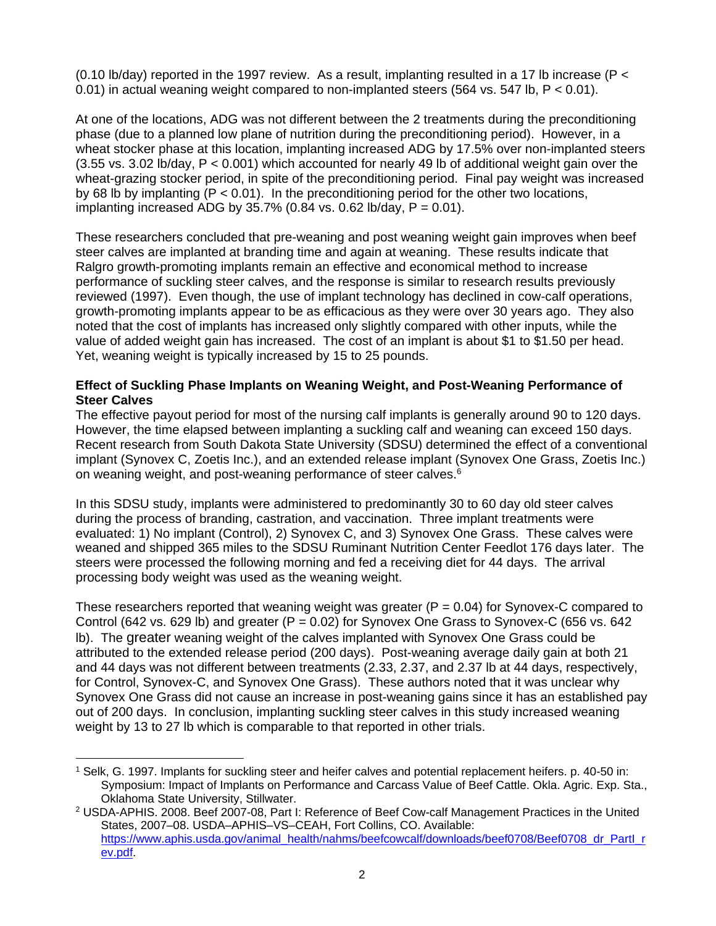(0.10 lb/day) reported in the 1997 review. As a result, implanting resulted in a 17 lb increase ( $P <$ 0.01) in actual weaning weight compared to non-implanted steers (564 vs.  $547$  lb,  $P < 0.01$ ).

At one of the locations, ADG was not different between the 2 treatments during the preconditioning phase (due to a planned low plane of nutrition during the preconditioning period). However, in a wheat stocker phase at this location, implanting increased ADG by 17.5% over non-implanted steers  $(3.55 \text{ vs. } 3.02 \text{ lb/day}, P < 0.001)$  which accounted for nearly 49 lb of additional weight gain over the wheat-grazing stocker period, in spite of the preconditioning period. Final pay weight was increased by 68 lb by implanting  $(P < 0.01)$ . In the preconditioning period for the other two locations, implanting increased ADG by 35.7% (0.84 vs. 0.62 lb/day,  $P = 0.01$ ).

These researchers concluded that pre-weaning and post weaning weight gain improves when beef steer calves are implanted at branding time and again at weaning. These results indicate that Ralgro growth-promoting implants remain an effective and economical method to increase performance of suckling steer calves, and the response is similar to research results previously reviewed (1997). Even though, the use of implant technology has declined in cow-calf operations, growth-promoting implants appear to be as efficacious as they were over 30 years ago. They also noted that the cost of implants has increased only slightly compared with other inputs, while the value of added weight gain has increased. The cost of an implant is about \$1 to \$1.50 per head. Yet, weaning weight is typically increased by 15 to 25 pounds.

## **Effect of Suckling Phase Implants on Weaning Weight, and Post-Weaning Performance of Steer Calves**

The effective payout period for most of the nursing calf implants is generally around 90 to 120 days. However, the time elapsed between implanting a suckling calf and weaning can exceed 150 days. Recent research from South Dakota State University (SDSU) determined the effect of a conventional implant (Synovex C, Zoetis Inc.), and an extended release implant (Synovex One Grass, Zoetis Inc.) on weaning weight, and post-weaning performance of steer calves.<sup>6</sup>

In this SDSU study, implants were administered to predominantly 30 to 60 day old steer calves during the process of branding, castration, and vaccination. Three implant treatments were evaluated: 1) No implant (Control), 2) Synovex C, and 3) Synovex One Grass. These calves were weaned and shipped 365 miles to the SDSU Ruminant Nutrition Center Feedlot 176 days later. The steers were processed the following morning and fed a receiving diet for 44 days. The arrival processing body weight was used as the weaning weight.

These researchers reported that weaning weight was greater  $(P = 0.04)$  for Synovex-C compared to Control (642 vs. 629 lb) and greater (P =  $0.02$ ) for Synovex One Grass to Synovex-C (656 vs. 642 lb). The greater weaning weight of the calves implanted with Synovex One Grass could be attributed to the extended release period (200 days). Post-weaning average daily gain at both 21 and 44 days was not different between treatments (2.33, 2.37, and 2.37 lb at 44 days, respectively, for Control, Synovex-C, and Synovex One Grass). These authors noted that it was unclear why Synovex One Grass did not cause an increase in post-weaning gains since it has an established pay out of 200 days. In conclusion, implanting suckling steer calves in this study increased weaning weight by 13 to 27 lb which is comparable to that reported in other trials.

<sup>1</sup> Selk, G. 1997. Implants for suckling steer and heifer calves and potential replacement heifers. p. 40-50 in: Symposium: Impact of Implants on Performance and Carcass Value of Beef Cattle. Okla. Agric. Exp. Sta., Oklahoma State University, Stillwater.  $\overline{a}$ 

<sup>2</sup> USDA-APHIS. 2008. Beef 2007-08, Part I: Reference of Beef Cow-calf Management Practices in the United States, 2007–08. USDA–APHIS–VS–CEAH, Fort Collins, CO. Available: https://www.aphis.usda.gov/animal\_health/nahms/beefcowcalf/downloads/beef0708/Beef0708\_dr\_PartI\_r ev.pdf.